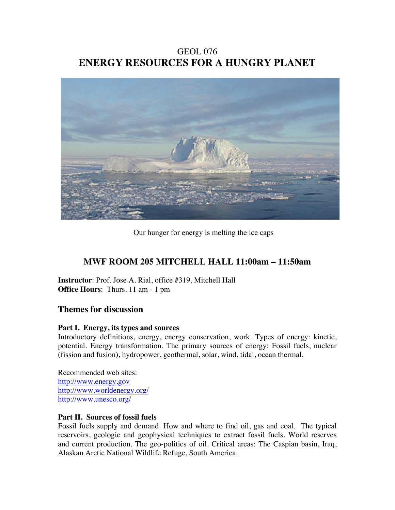GEOL 076 **ENERGY RESOURCES FOR A HUNGRY PLANET**



Our hunger for energy is melting the ice caps

# **MWF ROOM 205 MITCHELL HALL 11:00am – 11:50am**

**Instructor**: Prof. Jose A. Rial, office #319, Mitchell Hall **Office Hours**: Thurs. 11 am - 1 pm

# **Themes for discussion**

# **Part I. Energy, its types and sources**

Introductory definitions, energy, energy conservation, work. Types of energy: kinetic, potential. Energy transformation. The primary sources of energy: Fossil fuels, nuclear (fission and fusion), hydropower, geothermal, solar, wind, tidal, ocean thermal.

Recommended web sites: http://www.energy.gov http://www.worldenergy.org/ http://www.unesco.org/

# **Part II. Sources of fossil fuels**

Fossil fuels supply and demand. How and where to find oil, gas and coal. The typical reservoirs, geologic and geophysical techniques to extract fossil fuels. World reserves and current production. The geo-politics of oil. Critical areas: The Caspian basin, Iraq, Alaskan Arctic National Wildlife Refuge, South America.